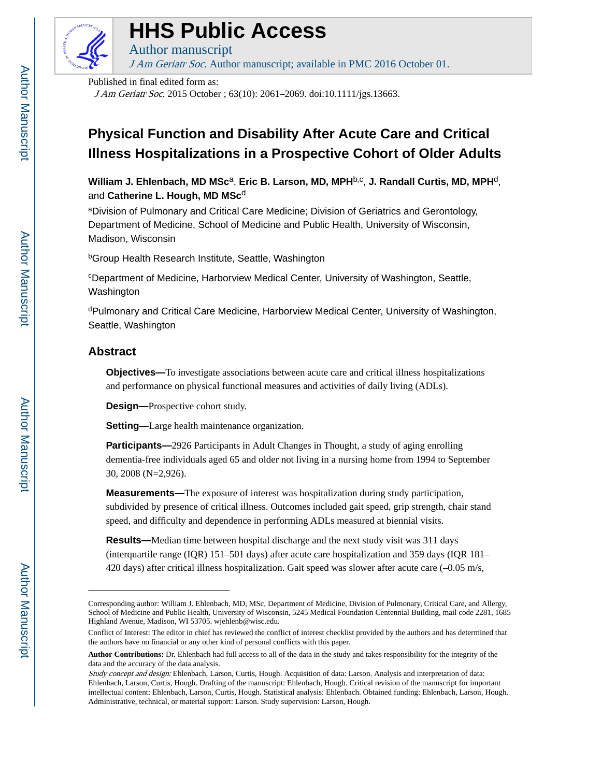

# **HHS Public Access**

J Am Geriatr Soc. Author manuscript; available in PMC 2016 October 01.

Published in final edited form as:

Author manuscript

J Am Geriatr Soc. 2015 October ; 63(10): 2061–2069. doi:10.1111/jgs.13663.

# **Physical Function and Disability After Acute Care and Critical Illness Hospitalizations in a Prospective Cohort of Older Adults**

**William J. Ehlenbach, MD MSc**a, **Eric B. Larson, MD, MPH**b,c , **J. Randall Curtis, MD, MPH**d, and **Catherine L. Hough, MD MSc**<sup>d</sup>

aDivision of Pulmonary and Critical Care Medicine; Division of Geriatrics and Gerontology, Department of Medicine, School of Medicine and Public Health, University of Wisconsin, Madison, Wisconsin

<sup>b</sup>Group Health Research Institute, Seattle, Washington

<sup>c</sup>Department of Medicine, Harborview Medical Center, University of Washington, Seattle, Washington

<sup>d</sup>Pulmonary and Critical Care Medicine, Harborview Medical Center, University of Washington, Seattle, Washington

# **Abstract**

**Objectives—**To investigate associations between acute care and critical illness hospitalizations and performance on physical functional measures and activities of daily living (ADLs).

**Design—**Prospective cohort study.

**Setting—**Large health maintenance organization.

**Participants—2926** Participants in Adult Changes in Thought, a study of aging enrolling dementia-free individuals aged 65 and older not living in a nursing home from 1994 to September 30, 2008 (N=2,926).

**Measurements—**The exposure of interest was hospitalization during study participation, subdivided by presence of critical illness. Outcomes included gait speed, grip strength, chair stand speed, and difficulty and dependence in performing ADLs measured at biennial visits.

**Results—**Median time between hospital discharge and the next study visit was 311 days (interquartile range (IQR) 151–501 days) after acute care hospitalization and 359 days (IQR 181– 420 days) after critical illness hospitalization. Gait speed was slower after acute care (–0.05 m/s,

Corresponding author: William J. Ehlenbach, MD, MSc, Department of Medicine, Division of Pulmonary, Critical Care, and Allergy, School of Medicine and Public Health, University of Wisconsin, 5245 Medical Foundation Centennial Building, mail code 2281, 1685 Highland Avenue, Madison, WI 53705. wjehlenb@wisc.edu.

Conflict of Interest: The editor in chief has reviewed the conflict of interest checklist provided by the authors and has determined that the authors have no financial or any other kind of personal conflicts with this paper.

**Author Contributions:** Dr. Ehlenbach had full access to all of the data in the study and takes responsibility for the integrity of the data and the accuracy of the data analysis.

Study concept and design: Ehlenbach, Larson, Curtis, Hough. Acquisition of data: Larson. Analysis and interpretation of data: Ehlenbach, Larson, Curtis, Hough. Drafting of the manuscript: Ehlenbach, Hough. Critical revision of the manuscript for important intellectual content: Ehlenbach, Larson, Curtis, Hough. Statistical analysis: Ehlenbach. Obtained funding: Ehlenbach, Larson, Hough. Administrative, technical, or material support: Larson. Study supervision: Larson, Hough.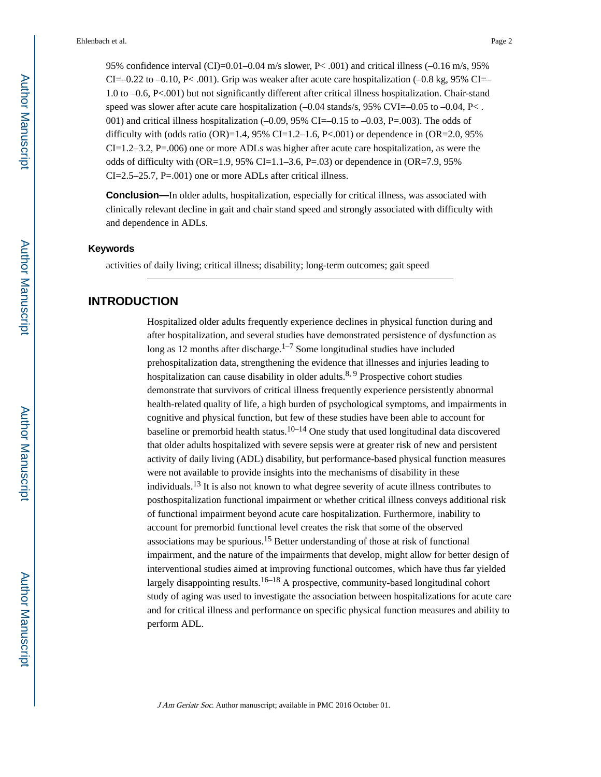95% confidence interval (CI)= $0.01-0.04$  m/s slower, P< .001) and critical illness  $(-0.16$  m/s, 95% CI=–0.22 to –0.10, P< .001). Grip was weaker after acute care hospitalization (–0.8 kg, 95% CI=– 1.0 to –0.6, P<.001) but not significantly different after critical illness hospitalization. Chair-stand speed was slower after acute care hospitalization  $(-0.04 \text{ stands/s}, 95\% \text{ CVI} = -0.05 \text{ to } -0.04, \text{ P} < .$ 001) and critical illness hospitalization  $(-0.09, 95\%$  CI= $-0.15$  to  $-0.03$ , P=.003). The odds of difficulty with (odds ratio (OR)=1.4, 95% CI=1.2–1.6, P<.001) or dependence in (OR=2.0, 95%  $CI=1.2-3.2$ ,  $P=.006$ ) one or more ADLs was higher after acute care hospitalization, as were the odds of difficulty with (OR=1.9, 95% CI=1.1–3.6, P=.03) or dependence in (OR=7.9, 95% CI=2.5–25.7, P=.001) one or more ADLs after critical illness.

**Conclusion—**In older adults, hospitalization, especially for critical illness, was associated with clinically relevant decline in gait and chair stand speed and strongly associated with difficulty with and dependence in ADLs.

### **Keywords**

activities of daily living; critical illness; disability; long-term outcomes; gait speed

# **INTRODUCTION**

Hospitalized older adults frequently experience declines in physical function during and after hospitalization, and several studies have demonstrated persistence of dysfunction as long as 12 months after discharge. $1-7$  Some longitudinal studies have included prehospitalization data, strengthening the evidence that illnesses and injuries leading to hospitalization can cause disability in older adults.<sup>8, 9</sup> Prospective cohort studies demonstrate that survivors of critical illness frequently experience persistently abnormal health-related quality of life, a high burden of psychological symptoms, and impairments in cognitive and physical function, but few of these studies have been able to account for baseline or premorbid health status.<sup>10–14</sup> One study that used longitudinal data discovered that older adults hospitalized with severe sepsis were at greater risk of new and persistent activity of daily living (ADL) disability, but performance-based physical function measures were not available to provide insights into the mechanisms of disability in these individuals.13 It is also not known to what degree severity of acute illness contributes to posthospitalization functional impairment or whether critical illness conveys additional risk of functional impairment beyond acute care hospitalization. Furthermore, inability to account for premorbid functional level creates the risk that some of the observed associations may be spurious.15 Better understanding of those at risk of functional impairment, and the nature of the impairments that develop, might allow for better design of interventional studies aimed at improving functional outcomes, which have thus far yielded largely disappointing results.<sup>16–18</sup> A prospective, community-based longitudinal cohort study of aging was used to investigate the association between hospitalizations for acute care and for critical illness and performance on specific physical function measures and ability to perform ADL.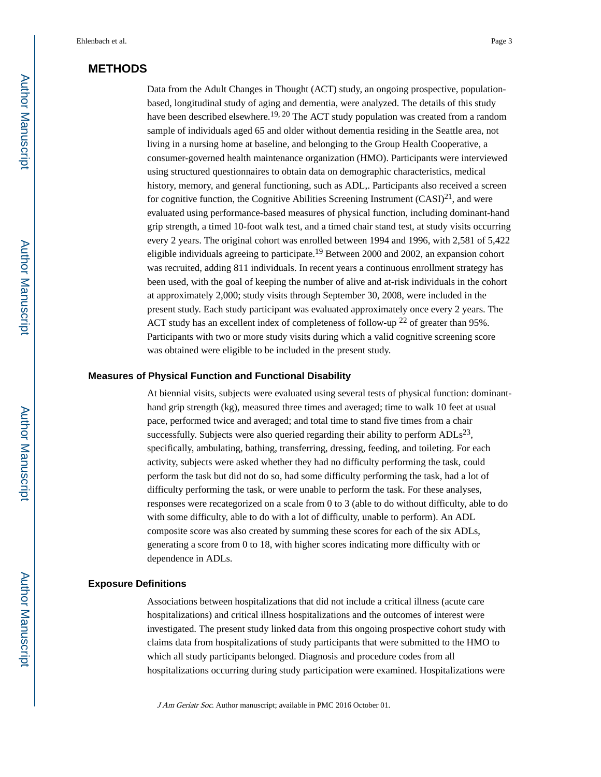# **METHODS**

Data from the Adult Changes in Thought (ACT) study, an ongoing prospective, populationbased, longitudinal study of aging and dementia, were analyzed. The details of this study have been described elsewhere.<sup>19, 20</sup> The ACT study population was created from a random sample of individuals aged 65 and older without dementia residing in the Seattle area, not living in a nursing home at baseline, and belonging to the Group Health Cooperative, a consumer-governed health maintenance organization (HMO). Participants were interviewed using structured questionnaires to obtain data on demographic characteristics, medical history, memory, and general functioning, such as ADL,. Participants also received a screen for cognitive function, the Cognitive Abilities Screening Instrument  $(CASI)^{21}$ , and were evaluated using performance-based measures of physical function, including dominant-hand grip strength, a timed 10-foot walk test, and a timed chair stand test, at study visits occurring every 2 years. The original cohort was enrolled between 1994 and 1996, with 2,581 of 5,422 eligible individuals agreeing to participate.<sup>19</sup> Between 2000 and 2002, an expansion cohort was recruited, adding 811 individuals. In recent years a continuous enrollment strategy has been used, with the goal of keeping the number of alive and at-risk individuals in the cohort at approximately 2,000; study visits through September 30, 2008, were included in the present study. Each study participant was evaluated approximately once every 2 years. The ACT study has an excellent index of completeness of follow-up <sup>22</sup> of greater than 95%. Participants with two or more study visits during which a valid cognitive screening score was obtained were eligible to be included in the present study.

#### **Measures of Physical Function and Functional Disability**

At biennial visits, subjects were evaluated using several tests of physical function: dominanthand grip strength (kg), measured three times and averaged; time to walk 10 feet at usual pace, performed twice and averaged; and total time to stand five times from a chair successfully. Subjects were also queried regarding their ability to perform  $ADLs<sup>23</sup>$ , specifically, ambulating, bathing, transferring, dressing, feeding, and toileting. For each activity, subjects were asked whether they had no difficulty performing the task, could perform the task but did not do so, had some difficulty performing the task, had a lot of difficulty performing the task, or were unable to perform the task. For these analyses, responses were recategorized on a scale from 0 to 3 (able to do without difficulty, able to do with some difficulty, able to do with a lot of difficulty, unable to perform). An ADL composite score was also created by summing these scores for each of the six ADLs, generating a score from 0 to 18, with higher scores indicating more difficulty with or dependence in ADLs.

#### **Exposure Definitions**

Associations between hospitalizations that did not include a critical illness (acute care hospitalizations) and critical illness hospitalizations and the outcomes of interest were investigated. The present study linked data from this ongoing prospective cohort study with claims data from hospitalizations of study participants that were submitted to the HMO to which all study participants belonged. Diagnosis and procedure codes from all hospitalizations occurring during study participation were examined. Hospitalizations were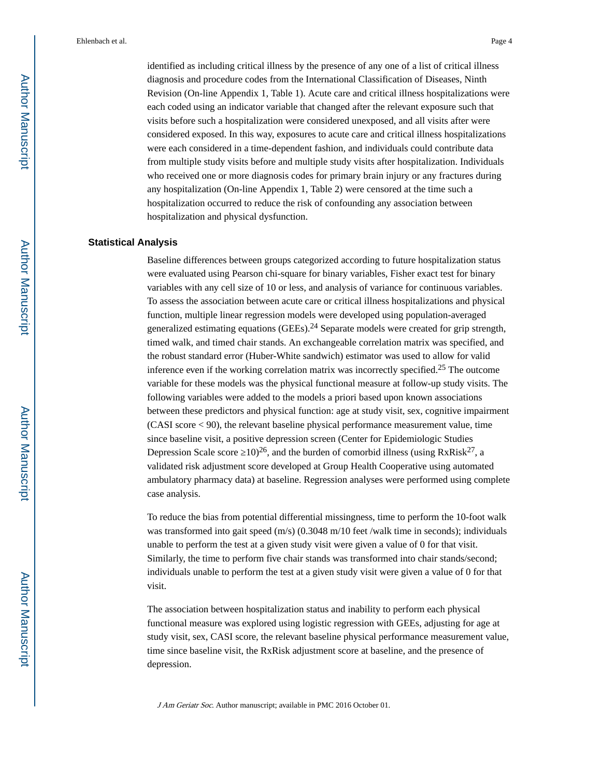identified as including critical illness by the presence of any one of a list of critical illness diagnosis and procedure codes from the International Classification of Diseases, Ninth Revision (On-line Appendix 1, Table 1). Acute care and critical illness hospitalizations were each coded using an indicator variable that changed after the relevant exposure such that visits before such a hospitalization were considered unexposed, and all visits after were considered exposed. In this way, exposures to acute care and critical illness hospitalizations were each considered in a time-dependent fashion, and individuals could contribute data from multiple study visits before and multiple study visits after hospitalization. Individuals who received one or more diagnosis codes for primary brain injury or any fractures during any hospitalization (On-line Appendix 1, Table 2) were censored at the time such a hospitalization occurred to reduce the risk of confounding any association between hospitalization and physical dysfunction.

#### **Statistical Analysis**

Baseline differences between groups categorized according to future hospitalization status were evaluated using Pearson chi-square for binary variables, Fisher exact test for binary variables with any cell size of 10 or less, and analysis of variance for continuous variables. To assess the association between acute care or critical illness hospitalizations and physical function, multiple linear regression models were developed using population-averaged generalized estimating equations (GEEs).<sup>24</sup> Separate models were created for grip strength, timed walk, and timed chair stands. An exchangeable correlation matrix was specified, and the robust standard error (Huber-White sandwich) estimator was used to allow for valid inference even if the working correlation matrix was incorrectly specified.25 The outcome variable for these models was the physical functional measure at follow-up study visits. The following variables were added to the models a priori based upon known associations between these predictors and physical function: age at study visit, sex, cognitive impairment (CASI score < 90), the relevant baseline physical performance measurement value, time since baseline visit, a positive depression screen (Center for Epidemiologic Studies Depression Scale score  $10^{26}$ , and the burden of comorbid illness (using RxRisk<sup>27</sup>, a validated risk adjustment score developed at Group Health Cooperative using automated ambulatory pharmacy data) at baseline. Regression analyses were performed using complete case analysis.

To reduce the bias from potential differential missingness, time to perform the 10-foot walk was transformed into gait speed (m/s) (0.3048 m/10 feet /walk time in seconds); individuals unable to perform the test at a given study visit were given a value of 0 for that visit. Similarly, the time to perform five chair stands was transformed into chair stands/second; individuals unable to perform the test at a given study visit were given a value of 0 for that visit.

The association between hospitalization status and inability to perform each physical functional measure was explored using logistic regression with GEEs, adjusting for age at study visit, sex, CASI score, the relevant baseline physical performance measurement value, time since baseline visit, the RxRisk adjustment score at baseline, and the presence of depression.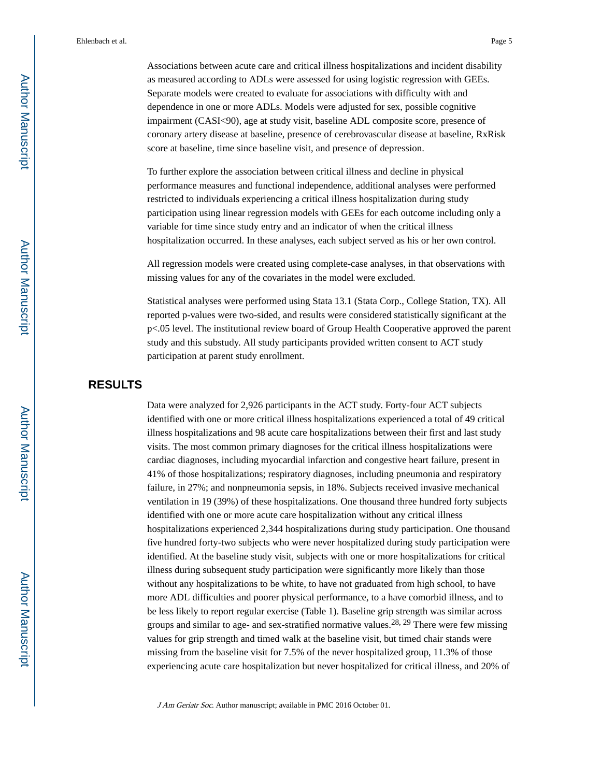Associations between acute care and critical illness hospitalizations and incident disability as measured according to ADLs were assessed for using logistic regression with GEEs. Separate models were created to evaluate for associations with difficulty with and dependence in one or more ADLs. Models were adjusted for sex, possible cognitive impairment (CASI<90), age at study visit, baseline ADL composite score, presence of coronary artery disease at baseline, presence of cerebrovascular disease at baseline, RxRisk score at baseline, time since baseline visit, and presence of depression.

To further explore the association between critical illness and decline in physical performance measures and functional independence, additional analyses were performed restricted to individuals experiencing a critical illness hospitalization during study participation using linear regression models with GEEs for each outcome including only a variable for time since study entry and an indicator of when the critical illness hospitalization occurred. In these analyses, each subject served as his or her own control.

All regression models were created using complete-case analyses, in that observations with missing values for any of the covariates in the model were excluded.

Statistical analyses were performed using Stata 13.1 (Stata Corp., College Station, TX). All reported p-values were two-sided, and results were considered statistically significant at the p<.05 level. The institutional review board of Group Health Cooperative approved the parent study and this substudy. All study participants provided written consent to ACT study participation at parent study enrollment.

# **RESULTS**

Data were analyzed for 2,926 participants in the ACT study. Forty-four ACT subjects identified with one or more critical illness hospitalizations experienced a total of 49 critical illness hospitalizations and 98 acute care hospitalizations between their first and last study visits. The most common primary diagnoses for the critical illness hospitalizations were cardiac diagnoses, including myocardial infarction and congestive heart failure, present in 41% of those hospitalizations; respiratory diagnoses, including pneumonia and respiratory failure, in 27%; and nonpneumonia sepsis, in 18%. Subjects received invasive mechanical ventilation in 19 (39%) of these hospitalizations. One thousand three hundred forty subjects identified with one or more acute care hospitalization without any critical illness hospitalizations experienced 2,344 hospitalizations during study participation. One thousand five hundred forty-two subjects who were never hospitalized during study participation were identified. At the baseline study visit, subjects with one or more hospitalizations for critical illness during subsequent study participation were significantly more likely than those without any hospitalizations to be white, to have not graduated from high school, to have more ADL difficulties and poorer physical performance, to a have comorbid illness, and to be less likely to report regular exercise (Table 1). Baseline grip strength was similar across groups and similar to age- and sex-stratified normative values.<sup>28, 29</sup> There were few missing values for grip strength and timed walk at the baseline visit, but timed chair stands were missing from the baseline visit for 7.5% of the never hospitalized group, 11.3% of those experiencing acute care hospitalization but never hospitalized for critical illness, and 20% of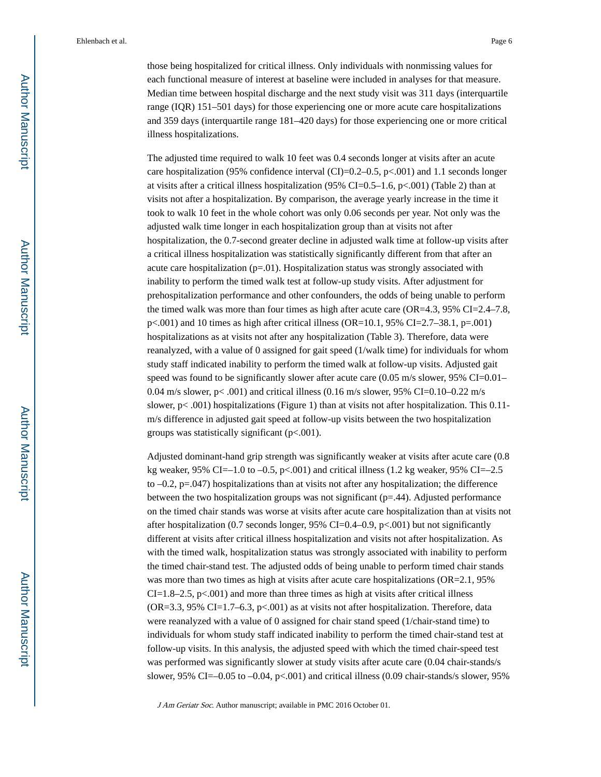those being hospitalized for critical illness. Only individuals with nonmissing values for each functional measure of interest at baseline were included in analyses for that measure. Median time between hospital discharge and the next study visit was 311 days (interquartile range (IQR) 151–501 days) for those experiencing one or more acute care hospitalizations and 359 days (interquartile range 181–420 days) for those experiencing one or more critical illness hospitalizations.

The adjusted time required to walk 10 feet was 0.4 seconds longer at visits after an acute care hospitalization (95% confidence interval (CI)=0.2–0.5, p<.001) and 1.1 seconds longer at visits after a critical illness hospitalization  $(95\%$  CI=0.5–1.6, p<.001) (Table 2) than at visits not after a hospitalization. By comparison, the average yearly increase in the time it took to walk 10 feet in the whole cohort was only 0.06 seconds per year. Not only was the adjusted walk time longer in each hospitalization group than at visits not after hospitalization, the 0.7-second greater decline in adjusted walk time at follow-up visits after a critical illness hospitalization was statistically significantly different from that after an acute care hospitalization  $(p=01)$ . Hospitalization status was strongly associated with inability to perform the timed walk test at follow-up study visits. After adjustment for prehospitalization performance and other confounders, the odds of being unable to perform the timed walk was more than four times as high after acute care (OR=4.3, 95% CI=2.4–7.8, p<.001) and 10 times as high after critical illness (OR=10.1, 95% CI=2.7–38.1, p=.001) hospitalizations as at visits not after any hospitalization (Table 3). Therefore, data were reanalyzed, with a value of 0 assigned for gait speed (1/walk time) for individuals for whom study staff indicated inability to perform the timed walk at follow-up visits. Adjusted gait speed was found to be significantly slower after acute care (0.05 m/s slower, 95% CI=0.01– 0.04 m/s slower, p $<$  0.01) and critical illness (0.16 m/s slower, 95% CI=0.10–0.22 m/s slower,  $p < .001$ ) hospitalizations (Figure 1) than at visits not after hospitalization. This 0.11m/s difference in adjusted gait speed at follow-up visits between the two hospitalization groups was statistically significant (p<.001).

Adjusted dominant-hand grip strength was significantly weaker at visits after acute care (0.8 kg weaker, 95% CI=–1.0 to –0.5, p<.001) and critical illness (1.2 kg weaker, 95% CI=–2.5 to  $-0.2$ , p=.047) hospitalizations than at visits not after any hospitalization; the difference between the two hospitalization groups was not significant  $(p=.44)$ . Adjusted performance on the timed chair stands was worse at visits after acute care hospitalization than at visits not after hospitalization (0.7 seconds longer,  $95\%$  CI=0.4–0.9, p<.001) but not significantly different at visits after critical illness hospitalization and visits not after hospitalization. As with the timed walk, hospitalization status was strongly associated with inability to perform the timed chair-stand test. The adjusted odds of being unable to perform timed chair stands was more than two times as high at visits after acute care hospitalizations (OR=2.1, 95%)  $CI=1.8-2.5$ ,  $p<.001$ ) and more than three times as high at visits after critical illness (OR=3.3, 95% CI=1.7–6.3,  $p<0.001$ ) as at visits not after hospitalization. Therefore, data were reanalyzed with a value of 0 assigned for chair stand speed (1/chair-stand time) to individuals for whom study staff indicated inability to perform the timed chair-stand test at follow-up visits. In this analysis, the adjusted speed with which the timed chair-speed test was performed was significantly slower at study visits after acute care (0.04 chair-stands/s slower, 95% CI=–0.05 to –0.04,  $p<sub>0</sub>$ , 001) and critical illness (0.09 chair-stands/s slower, 95%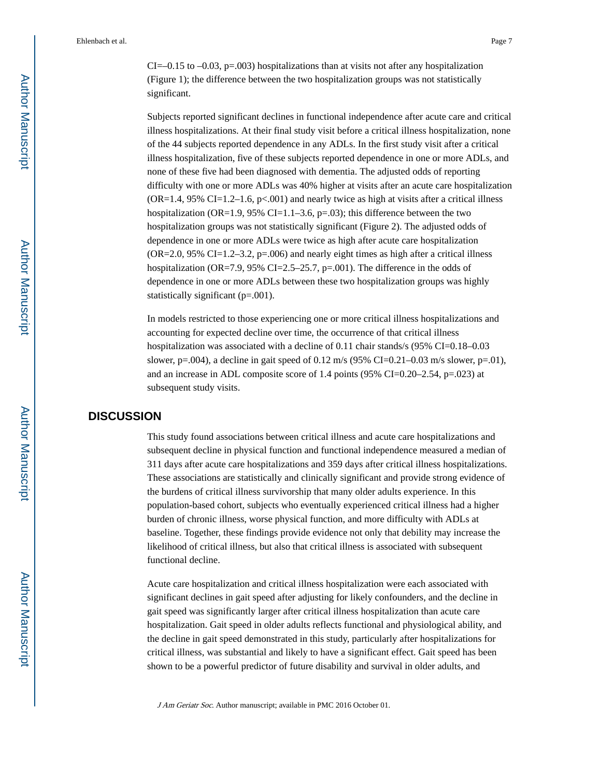$CI = -0.15$  to  $-0.03$ ,  $p = .003$ ) hospitalizations than at visits not after any hospitalization (Figure 1); the difference between the two hospitalization groups was not statistically significant.

Subjects reported significant declines in functional independence after acute care and critical illness hospitalizations. At their final study visit before a critical illness hospitalization, none of the 44 subjects reported dependence in any ADLs. In the first study visit after a critical illness hospitalization, five of these subjects reported dependence in one or more ADLs, and none of these five had been diagnosed with dementia. The adjusted odds of reporting difficulty with one or more ADLs was 40% higher at visits after an acute care hospitalization  $(OR=1.4, 95\% CI=1.2-1.6, p<.001)$  and nearly twice as high at visits after a critical illness hospitalization (OR=1.9, 95% CI=1.1–3.6, p=.03); this difference between the two hospitalization groups was not statistically significant (Figure 2). The adjusted odds of dependence in one or more ADLs were twice as high after acute care hospitalization  $(OR=2.0, 95\% CI=1.2-3.2, p=.006)$  and nearly eight times as high after a critical illness hospitalization (OR=7.9, 95% CI=2.5–25.7, p=.001). The difference in the odds of dependence in one or more ADLs between these two hospitalization groups was highly statistically significant (p=.001).

In models restricted to those experiencing one or more critical illness hospitalizations and accounting for expected decline over time, the occurrence of that critical illness hospitalization was associated with a decline of 0.11 chair stands/s (95% CI=0.18–0.03 slower, p=.004), a decline in gait speed of  $0.12 \text{ m/s}$  (95% CI=0.21–0.03 m/s slower, p=.01), and an increase in ADL composite score of 1.4 points (95% CI=0.20–2.54, p=.023) at subsequent study visits.

# **DISCUSSION**

This study found associations between critical illness and acute care hospitalizations and subsequent decline in physical function and functional independence measured a median of 311 days after acute care hospitalizations and 359 days after critical illness hospitalizations. These associations are statistically and clinically significant and provide strong evidence of the burdens of critical illness survivorship that many older adults experience. In this population-based cohort, subjects who eventually experienced critical illness had a higher burden of chronic illness, worse physical function, and more difficulty with ADLs at baseline. Together, these findings provide evidence not only that debility may increase the likelihood of critical illness, but also that critical illness is associated with subsequent functional decline.

Acute care hospitalization and critical illness hospitalization were each associated with significant declines in gait speed after adjusting for likely confounders, and the decline in gait speed was significantly larger after critical illness hospitalization than acute care hospitalization. Gait speed in older adults reflects functional and physiological ability, and the decline in gait speed demonstrated in this study, particularly after hospitalizations for critical illness, was substantial and likely to have a significant effect. Gait speed has been shown to be a powerful predictor of future disability and survival in older adults, and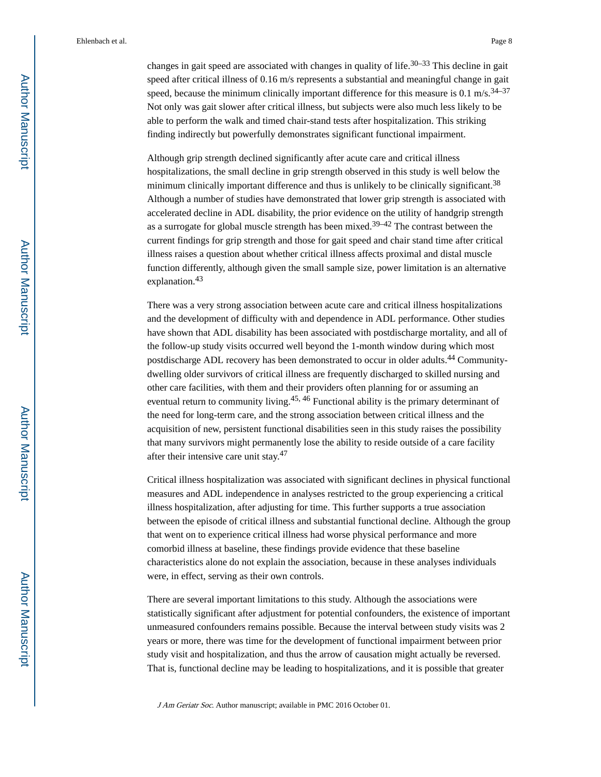changes in gait speed are associated with changes in quality of life.<sup>30–33</sup> This decline in gait speed after critical illness of 0.16 m/s represents a substantial and meaningful change in gait speed, because the minimum clinically important difference for this measure is  $0.1 \text{ m/s}$ .<sup>34–37</sup> Not only was gait slower after critical illness, but subjects were also much less likely to be able to perform the walk and timed chair-stand tests after hospitalization. This striking finding indirectly but powerfully demonstrates significant functional impairment.

Although grip strength declined significantly after acute care and critical illness hospitalizations, the small decline in grip strength observed in this study is well below the minimum clinically important difference and thus is unlikely to be clinically significant.<sup>38</sup> Although a number of studies have demonstrated that lower grip strength is associated with accelerated decline in ADL disability, the prior evidence on the utility of handgrip strength as a surrogate for global muscle strength has been mixed.<sup>39–42</sup> The contrast between the current findings for grip strength and those for gait speed and chair stand time after critical illness raises a question about whether critical illness affects proximal and distal muscle function differently, although given the small sample size, power limitation is an alternative explanation.<sup>43</sup>

There was a very strong association between acute care and critical illness hospitalizations and the development of difficulty with and dependence in ADL performance. Other studies have shown that ADL disability has been associated with postdischarge mortality, and all of the follow-up study visits occurred well beyond the 1-month window during which most postdischarge ADL recovery has been demonstrated to occur in older adults.44 Communitydwelling older survivors of critical illness are frequently discharged to skilled nursing and other care facilities, with them and their providers often planning for or assuming an eventual return to community living.<sup>45, 46</sup> Functional ability is the primary determinant of the need for long-term care, and the strong association between critical illness and the acquisition of new, persistent functional disabilities seen in this study raises the possibility that many survivors might permanently lose the ability to reside outside of a care facility after their intensive care unit stay.<sup>47</sup>

Critical illness hospitalization was associated with significant declines in physical functional measures and ADL independence in analyses restricted to the group experiencing a critical illness hospitalization, after adjusting for time. This further supports a true association between the episode of critical illness and substantial functional decline. Although the group that went on to experience critical illness had worse physical performance and more comorbid illness at baseline, these findings provide evidence that these baseline characteristics alone do not explain the association, because in these analyses individuals were, in effect, serving as their own controls.

There are several important limitations to this study. Although the associations were statistically significant after adjustment for potential confounders, the existence of important unmeasured confounders remains possible. Because the interval between study visits was 2 years or more, there was time for the development of functional impairment between prior study visit and hospitalization, and thus the arrow of causation might actually be reversed. That is, functional decline may be leading to hospitalizations, and it is possible that greater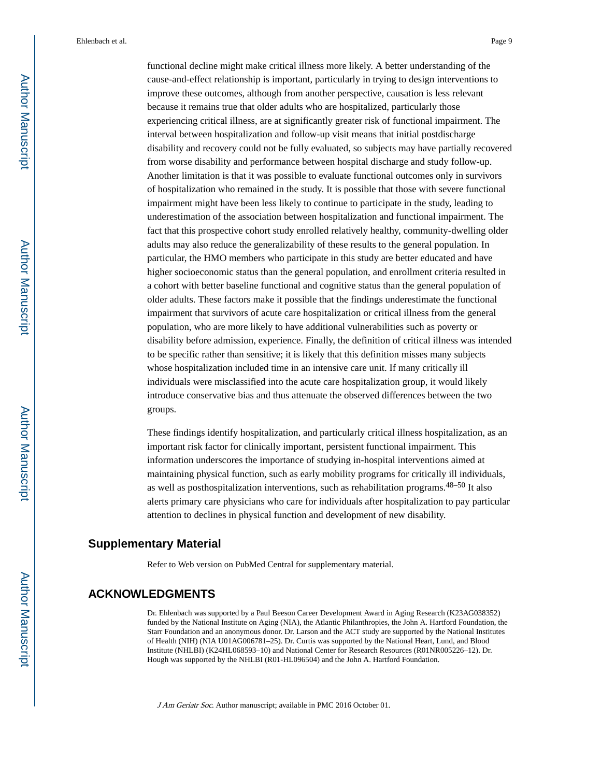functional decline might make critical illness more likely. A better understanding of the cause-and-effect relationship is important, particularly in trying to design interventions to improve these outcomes, although from another perspective, causation is less relevant because it remains true that older adults who are hospitalized, particularly those experiencing critical illness, are at significantly greater risk of functional impairment. The interval between hospitalization and follow-up visit means that initial postdischarge disability and recovery could not be fully evaluated, so subjects may have partially recovered from worse disability and performance between hospital discharge and study follow-up. Another limitation is that it was possible to evaluate functional outcomes only in survivors of hospitalization who remained in the study. It is possible that those with severe functional impairment might have been less likely to continue to participate in the study, leading to underestimation of the association between hospitalization and functional impairment. The fact that this prospective cohort study enrolled relatively healthy, community-dwelling older adults may also reduce the generalizability of these results to the general population. In particular, the HMO members who participate in this study are better educated and have higher socioeconomic status than the general population, and enrollment criteria resulted in a cohort with better baseline functional and cognitive status than the general population of older adults. These factors make it possible that the findings underestimate the functional impairment that survivors of acute care hospitalization or critical illness from the general population, who are more likely to have additional vulnerabilities such as poverty or disability before admission, experience. Finally, the definition of critical illness was intended to be specific rather than sensitive; it is likely that this definition misses many subjects whose hospitalization included time in an intensive care unit. If many critically ill individuals were misclassified into the acute care hospitalization group, it would likely introduce conservative bias and thus attenuate the observed differences between the two groups.

These findings identify hospitalization, and particularly critical illness hospitalization, as an important risk factor for clinically important, persistent functional impairment. This information underscores the importance of studying in-hospital interventions aimed at maintaining physical function, such as early mobility programs for critically ill individuals, as well as posthospitalization interventions, such as rehabilitation programs.48–50 It also alerts primary care physicians who care for individuals after hospitalization to pay particular attention to declines in physical function and development of new disability.

## **Supplementary Material**

Refer to Web version on PubMed Central for supplementary material.

# **ACKNOWLEDGMENTS**

Dr. Ehlenbach was supported by a Paul Beeson Career Development Award in Aging Research (K23AG038352) funded by the National Institute on Aging (NIA), the Atlantic Philanthropies, the John A. Hartford Foundation, the Starr Foundation and an anonymous donor. Dr. Larson and the ACT study are supported by the National Institutes of Health (NIH) (NIA U01AG006781–25). Dr. Curtis was supported by the National Heart, Lund, and Blood Institute (NHLBI) (K24HL068593–10) and National Center for Research Resources (R01NR005226–12). Dr. Hough was supported by the NHLBI (R01-HL096504) and the John A. Hartford Foundation.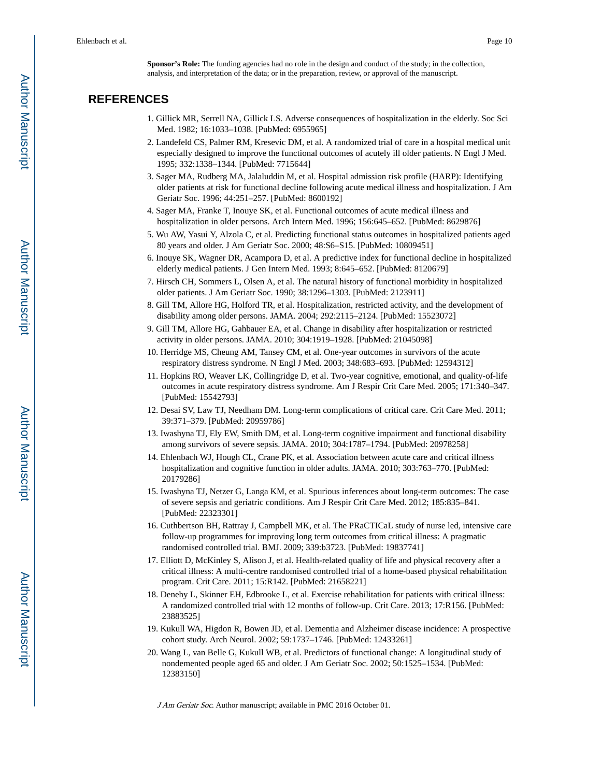**Sponsor's Role:** The funding agencies had no role in the design and conduct of the study; in the collection, analysis, and interpretation of the data; or in the preparation, review, or approval of the manuscript.

# **REFERENCES**

- 1. Gillick MR, Serrell NA, Gillick LS. Adverse consequences of hospitalization in the elderly. Soc Sci Med. 1982; 16:1033–1038. [PubMed: 6955965]
- 2. Landefeld CS, Palmer RM, Kresevic DM, et al. A randomized trial of care in a hospital medical unit especially designed to improve the functional outcomes of acutely ill older patients. N Engl J Med. 1995; 332:1338–1344. [PubMed: 7715644]
- 3. Sager MA, Rudberg MA, Jalaluddin M, et al. Hospital admission risk profile (HARP): Identifying older patients at risk for functional decline following acute medical illness and hospitalization. J Am Geriatr Soc. 1996; 44:251–257. [PubMed: 8600192]
- 4. Sager MA, Franke T, Inouye SK, et al. Functional outcomes of acute medical illness and hospitalization in older persons. Arch Intern Med. 1996; 156:645–652. [PubMed: 8629876]
- 5. Wu AW, Yasui Y, Alzola C, et al. Predicting functional status outcomes in hospitalized patients aged 80 years and older. J Am Geriatr Soc. 2000; 48:S6–S15. [PubMed: 10809451]
- 6. Inouye SK, Wagner DR, Acampora D, et al. A predictive index for functional decline in hospitalized elderly medical patients. J Gen Intern Med. 1993; 8:645–652. [PubMed: 8120679]
- 7. Hirsch CH, Sommers L, Olsen A, et al. The natural history of functional morbidity in hospitalized older patients. J Am Geriatr Soc. 1990; 38:1296–1303. [PubMed: 2123911]
- 8. Gill TM, Allore HG, Holford TR, et al. Hospitalization, restricted activity, and the development of disability among older persons. JAMA. 2004; 292:2115–2124. [PubMed: 15523072]
- 9. Gill TM, Allore HG, Gahbauer EA, et al. Change in disability after hospitalization or restricted activity in older persons. JAMA. 2010; 304:1919–1928. [PubMed: 21045098]
- 10. Herridge MS, Cheung AM, Tansey CM, et al. One-year outcomes in survivors of the acute respiratory distress syndrome. N Engl J Med. 2003; 348:683–693. [PubMed: 12594312]
- 11. Hopkins RO, Weaver LK, Collingridge D, et al. Two-year cognitive, emotional, and quality-of-life outcomes in acute respiratory distress syndrome. Am J Respir Crit Care Med. 2005; 171:340–347. [PubMed: 15542793]
- 12. Desai SV, Law TJ, Needham DM. Long-term complications of critical care. Crit Care Med. 2011; 39:371–379. [PubMed: 20959786]
- 13. Iwashyna TJ, Ely EW, Smith DM, et al. Long-term cognitive impairment and functional disability among survivors of severe sepsis. JAMA. 2010; 304:1787–1794. [PubMed: 20978258]
- 14. Ehlenbach WJ, Hough CL, Crane PK, et al. Association between acute care and critical illness hospitalization and cognitive function in older adults. JAMA. 2010; 303:763–770. [PubMed: 20179286]
- 15. Iwashyna TJ, Netzer G, Langa KM, et al. Spurious inferences about long-term outcomes: The case of severe sepsis and geriatric conditions. Am J Respir Crit Care Med. 2012; 185:835–841. [PubMed: 22323301]
- 16. Cuthbertson BH, Rattray J, Campbell MK, et al. The PRaCTICaL study of nurse led, intensive care follow-up programmes for improving long term outcomes from critical illness: A pragmatic randomised controlled trial. BMJ. 2009; 339:b3723. [PubMed: 19837741]
- 17. Elliott D, McKinley S, Alison J, et al. Health-related quality of life and physical recovery after a critical illness: A multi-centre randomised controlled trial of a home-based physical rehabilitation program. Crit Care. 2011; 15:R142. [PubMed: 21658221]
- 18. Denehy L, Skinner EH, Edbrooke L, et al. Exercise rehabilitation for patients with critical illness: A randomized controlled trial with 12 months of follow-up. Crit Care. 2013; 17:R156. [PubMed: 23883525]
- 19. Kukull WA, Higdon R, Bowen JD, et al. Dementia and Alzheimer disease incidence: A prospective cohort study. Arch Neurol. 2002; 59:1737–1746. [PubMed: 12433261]
- 20. Wang L, van Belle G, Kukull WB, et al. Predictors of functional change: A longitudinal study of nondemented people aged 65 and older. J Am Geriatr Soc. 2002; 50:1525–1534. [PubMed: 12383150]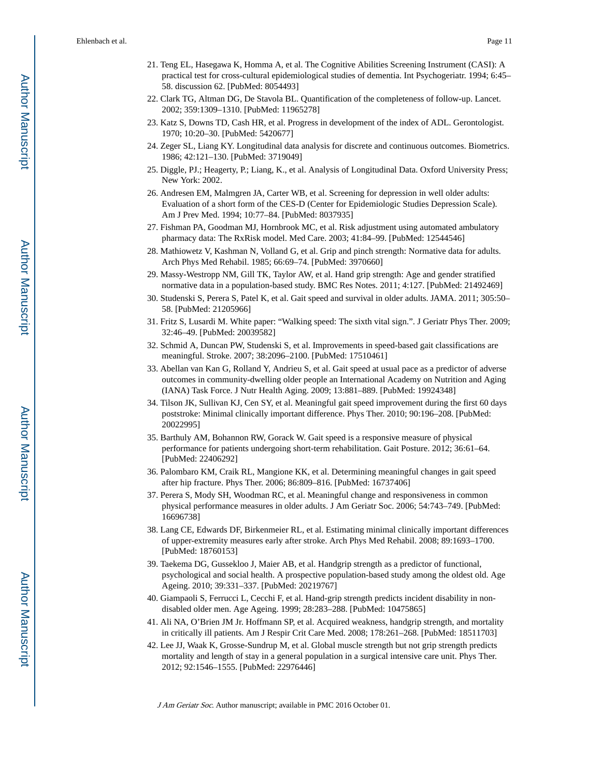- 21. Teng EL, Hasegawa K, Homma A, et al. The Cognitive Abilities Screening Instrument (CASI): A practical test for cross-cultural epidemiological studies of dementia. Int Psychogeriatr. 1994; 6:45– 58. discussion 62. [PubMed: 8054493]
- 22. Clark TG, Altman DG, De Stavola BL. Quantification of the completeness of follow-up. Lancet. 2002; 359:1309–1310. [PubMed: 11965278]
- 23. Katz S, Downs TD, Cash HR, et al. Progress in development of the index of ADL. Gerontologist. 1970; 10:20–30. [PubMed: 5420677]
- 24. Zeger SL, Liang KY. Longitudinal data analysis for discrete and continuous outcomes. Biometrics. 1986; 42:121–130. [PubMed: 3719049]
- 25. Diggle, PJ.; Heagerty, P.; Liang, K., et al. Analysis of Longitudinal Data. Oxford University Press; New York: 2002.
- 26. Andresen EM, Malmgren JA, Carter WB, et al. Screening for depression in well older adults: Evaluation of a short form of the CES-D (Center for Epidemiologic Studies Depression Scale). Am J Prev Med. 1994; 10:77–84. [PubMed: 8037935]
- 27. Fishman PA, Goodman MJ, Hornbrook MC, et al. Risk adjustment using automated ambulatory pharmacy data: The RxRisk model. Med Care. 2003; 41:84–99. [PubMed: 12544546]
- 28. Mathiowetz V, Kashman N, Volland G, et al. Grip and pinch strength: Normative data for adults. Arch Phys Med Rehabil. 1985; 66:69–74. [PubMed: 3970660]
- 29. Massy-Westropp NM, Gill TK, Taylor AW, et al. Hand grip strength: Age and gender stratified normative data in a population-based study. BMC Res Notes. 2011; 4:127. [PubMed: 21492469]
- 30. Studenski S, Perera S, Patel K, et al. Gait speed and survival in older adults. JAMA. 2011; 305:50– 58. [PubMed: 21205966]
- 31. Fritz S, Lusardi M. White paper: "Walking speed: The sixth vital sign.". J Geriatr Phys Ther. 2009; 32:46–49. [PubMed: 20039582]
- 32. Schmid A, Duncan PW, Studenski S, et al. Improvements in speed-based gait classifications are meaningful. Stroke. 2007; 38:2096–2100. [PubMed: 17510461]
- 33. Abellan van Kan G, Rolland Y, Andrieu S, et al. Gait speed at usual pace as a predictor of adverse outcomes in community-dwelling older people an International Academy on Nutrition and Aging (IANA) Task Force. J Nutr Health Aging. 2009; 13:881–889. [PubMed: 19924348]
- 34. Tilson JK, Sullivan KJ, Cen SY, et al. Meaningful gait speed improvement during the first 60 days poststroke: Minimal clinically important difference. Phys Ther. 2010; 90:196–208. [PubMed: 20022995]
- 35. Barthuly AM, Bohannon RW, Gorack W. Gait speed is a responsive measure of physical performance for patients undergoing short-term rehabilitation. Gait Posture. 2012; 36:61–64. [PubMed: 22406292]
- 36. Palombaro KM, Craik RL, Mangione KK, et al. Determining meaningful changes in gait speed after hip fracture. Phys Ther. 2006; 86:809–816. [PubMed: 16737406]
- 37. Perera S, Mody SH, Woodman RC, et al. Meaningful change and responsiveness in common physical performance measures in older adults. J Am Geriatr Soc. 2006; 54:743–749. [PubMed: 16696738]
- 38. Lang CE, Edwards DF, Birkenmeier RL, et al. Estimating minimal clinically important differences of upper-extremity measures early after stroke. Arch Phys Med Rehabil. 2008; 89:1693–1700. [PubMed: 18760153]
- 39. Taekema DG, Gussekloo J, Maier AB, et al. Handgrip strength as a predictor of functional, psychological and social health. A prospective population-based study among the oldest old. Age Ageing. 2010; 39:331–337. [PubMed: 20219767]
- 40. Giampaoli S, Ferrucci L, Cecchi F, et al. Hand-grip strength predicts incident disability in nondisabled older men. Age Ageing. 1999; 28:283–288. [PubMed: 10475865]
- 41. Ali NA, O'Brien JM Jr. Hoffmann SP, et al. Acquired weakness, handgrip strength, and mortality in critically ill patients. Am J Respir Crit Care Med. 2008; 178:261–268. [PubMed: 18511703]
- 42. Lee JJ, Waak K, Grosse-Sundrup M, et al. Global muscle strength but not grip strength predicts mortality and length of stay in a general population in a surgical intensive care unit. Phys Ther. 2012; 92:1546–1555. [PubMed: 22976446]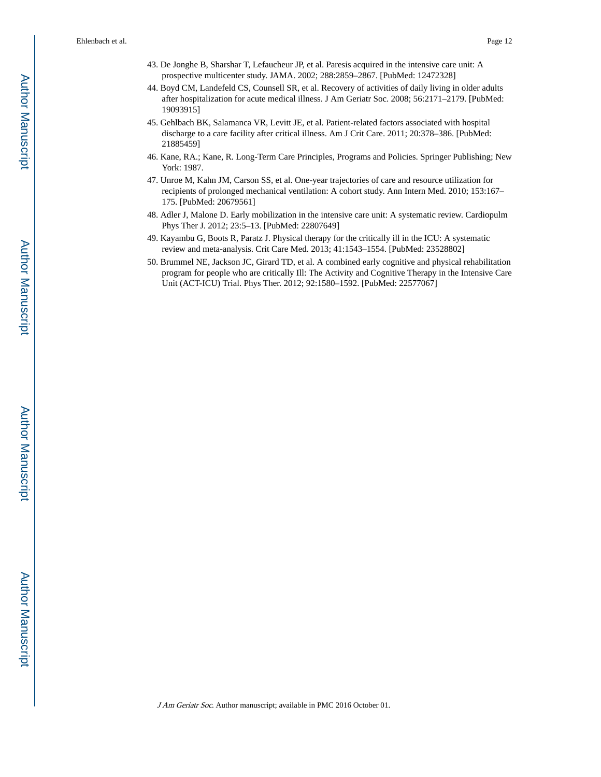- 43. De Jonghe B, Sharshar T, Lefaucheur JP, et al. Paresis acquired in the intensive care unit: A prospective multicenter study. JAMA. 2002; 288:2859–2867. [PubMed: 12472328]
- 44. Boyd CM, Landefeld CS, Counsell SR, et al. Recovery of activities of daily living in older adults after hospitalization for acute medical illness. J Am Geriatr Soc. 2008; 56:2171–2179. [PubMed: 19093915]
- 45. Gehlbach BK, Salamanca VR, Levitt JE, et al. Patient-related factors associated with hospital discharge to a care facility after critical illness. Am J Crit Care. 2011; 20:378–386. [PubMed: 21885459]
- 46. Kane, RA.; Kane, R. Long-Term Care Principles, Programs and Policies. Springer Publishing; New York: 1987.
- 47. Unroe M, Kahn JM, Carson SS, et al. One-year trajectories of care and resource utilization for recipients of prolonged mechanical ventilation: A cohort study. Ann Intern Med. 2010; 153:167– 175. [PubMed: 20679561]
- 48. Adler J, Malone D. Early mobilization in the intensive care unit: A systematic review. Cardiopulm Phys Ther J. 2012; 23:5–13. [PubMed: 22807649]
- 49. Kayambu G, Boots R, Paratz J. Physical therapy for the critically ill in the ICU: A systematic review and meta-analysis. Crit Care Med. 2013; 41:1543–1554. [PubMed: 23528802]
- 50. Brummel NE, Jackson JC, Girard TD, et al. A combined early cognitive and physical rehabilitation program for people who are critically Ill: The Activity and Cognitive Therapy in the Intensive Care Unit (ACT-ICU) Trial. Phys Ther. 2012; 92:1580–1592. [PubMed: 22577067]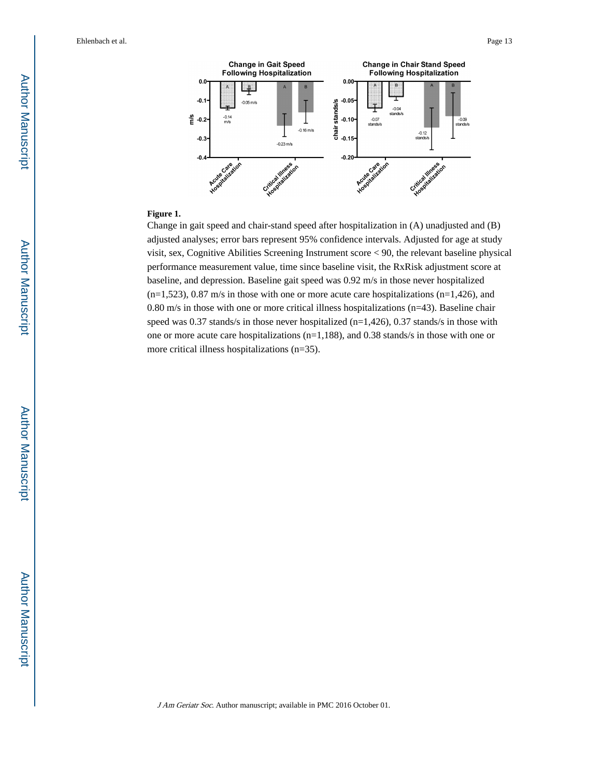

#### **Figure 1.**

Change in gait speed and chair-stand speed after hospitalization in (A) unadjusted and (B) adjusted analyses; error bars represent 95% confidence intervals. Adjusted for age at study visit, sex, Cognitive Abilities Screening Instrument score < 90, the relevant baseline physical performance measurement value, time since baseline visit, the RxRisk adjustment score at baseline, and depression. Baseline gait speed was 0.92 m/s in those never hospitalized  $(n=1,523)$ , 0.87 m/s in those with one or more acute care hospitalizations  $(n=1,426)$ , and 0.80 m/s in those with one or more critical illness hospitalizations (n=43). Baseline chair speed was 0.37 stands/s in those never hospitalized (n=1,426), 0.37 stands/s in those with one or more acute care hospitalizations (n=1,188), and 0.38 stands/s in those with one or more critical illness hospitalizations (n=35).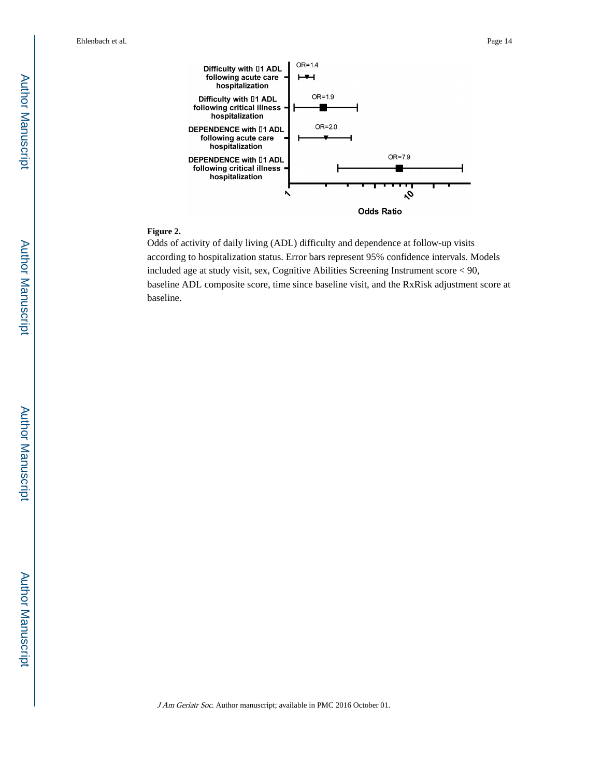

# **Figure 2.**

Odds of activity of daily living (ADL) difficulty and dependence at follow-up visits according to hospitalization status. Error bars represent 95% confidence intervals. Models included age at study visit, sex, Cognitive Abilities Screening Instrument score < 90, baseline ADL composite score, time since baseline visit, and the RxRisk adjustment score at baseline.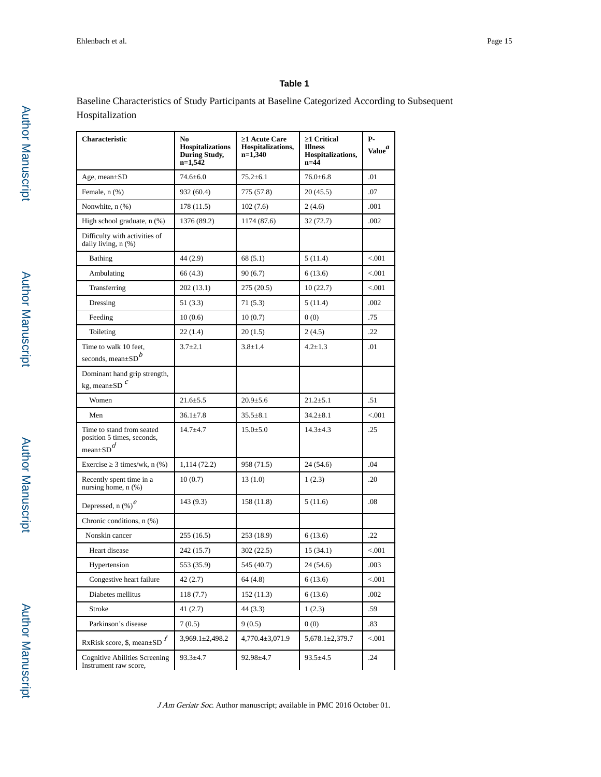# **Table 1**

Baseline Characteristics of Study Participants at Baseline Categorized According to Subsequent Hospitalization

| <b>Characteristic</b>                                                      | No<br><b>Hospitalizations</b><br>During Study,<br>$n=1,542$ | 1 Acute Care<br>Hospitalizations,<br>$n=1,340$ | 1 Critical<br><b>Illness</b><br>Hospitalizations,<br>$n=44$ | <b>P-</b><br>$\ensuremath{\text{Value}}^a$ |
|----------------------------------------------------------------------------|-------------------------------------------------------------|------------------------------------------------|-------------------------------------------------------------|--------------------------------------------|
| Age, $mean \pm SD$                                                         | $74.6 \pm 6.0$                                              | $75.2 \pm 6.1$                                 | $76.0{\pm}6.8$                                              | .01                                        |
| Female, n (%)                                                              | 932 (60.4)                                                  | 775 (57.8)                                     | 20(45.5)                                                    | .07                                        |
| Nonwhite, n (%)                                                            | 178(11.5)                                                   | 102(7.6)                                       | 2(4.6)                                                      | .001                                       |
| High school graduate, n (%)                                                | 1376 (89.2)                                                 | 1174 (87.6)                                    | 32 (72.7)                                                   | .002                                       |
| Difficulty with activities of<br>daily living, n (%)                       |                                                             |                                                |                                                             |                                            |
| Bathing                                                                    | 44 (2.9)                                                    | 68 (5.1)                                       | 5(11.4)                                                     | < 0.001                                    |
| Ambulating                                                                 | 66 (4.3)                                                    | 90(6.7)                                        | 6(13.6)                                                     | < 0.001                                    |
| Transferring                                                               | 202(13.1)                                                   | 275(20.5)                                      | 10(22.7)                                                    | < 0.001                                    |
| Dressing                                                                   | 51(3.3)                                                     | 71(5.3)                                        | 5(11.4)                                                     | .002                                       |
| Feeding                                                                    | 10(0.6)                                                     | 10(0.7)                                        | 0(0)                                                        | .75                                        |
| Toileting                                                                  | 22(1.4)                                                     | 20(1.5)                                        | 2(4.5)                                                      | .22                                        |
| Time to walk 10 feet,<br>seconds, mean $\pm SD^b$                          | $3.7 \pm 2.1$                                               | $3.8 \pm 1.4$                                  | $4.2 \pm 1.3$                                               | .01                                        |
| Dominant hand grip strength,<br>kg, mean $\pm$ SD <sup>c</sup>             |                                                             |                                                |                                                             |                                            |
| Women                                                                      | $21.6 \pm 5.5$                                              | $20.9 \pm 5.6$                                 | $21.2 \pm 5.1$                                              | .51                                        |
| Men                                                                        | $36.1 \pm 7.8$                                              | $35.5 \pm 8.1$                                 | $34.2 \pm 8.1$                                              | < 0.001                                    |
| Time to stand from seated<br>position 5 times, seconds,<br>$mean \pm SD^d$ | $14.7 + 4.7$                                                | $15.0 \pm 5.0$                                 | $14.3 \pm 4.3$                                              | .25                                        |
| Exercise<br>$3 \times$ times/wk, n $(\%)$                                  | 1,114 (72.2)                                                | 958 (71.5)                                     | 24 (54.6)                                                   | .04                                        |
| Recently spent time in a<br>nursing home, n (%)                            | 10(0.7)                                                     | 13(1.0)                                        | 1(2.3)                                                      | .20                                        |
| Depressed, n $(\%)^e$                                                      | 143 (9.3)                                                   | 158 (11.8)                                     | 5(11.6)                                                     | .08                                        |
| Chronic conditions, n (%)                                                  |                                                             |                                                |                                                             |                                            |
| Nonskin cancer                                                             | 255(16.5)                                                   | 253 (18.9)                                     | 6(13.6)                                                     | .22                                        |
| Heart disease                                                              | 242 (15.7)                                                  | 302(22.5)                                      | 15(34.1)                                                    | < 0.001                                    |
| Hypertension                                                               | 553 (35.9)                                                  | 545 (40.7)                                     | 24(54.6)                                                    | .003                                       |
| Congestive heart failure                                                   | 42 (2.7)                                                    | 64 (4.8)                                       | 6(13.6)                                                     | < 0.001                                    |
| Diabetes mellitus                                                          | 118 (7.7)                                                   | 152(11.3)                                      | 6(13.6)                                                     | .002                                       |
| Stroke                                                                     | 41 (2.7)                                                    | 44 (3.3)                                       | 1(2.3)                                                      | .59                                        |
| Parkinson's disease                                                        | 7(0.5)                                                      | 9(0.5)                                         | 0(0)                                                        | .83                                        |
| RxRisk score, \$, mean $\pm$ SD <sup><math>f</math></sup>                  | $3,969.1 \pm 2,498.2$                                       | $4,770.4 \pm 3,071.9$                          | $5,678.1 \pm 2,379.7$                                       | < 0.001                                    |
| <b>Cognitive Abilities Screening</b><br>Instrument raw score,              | $93.3 \pm 4.7$                                              | $92.98 \pm 4.7$                                | $93.5 \pm 4.5$                                              | .24                                        |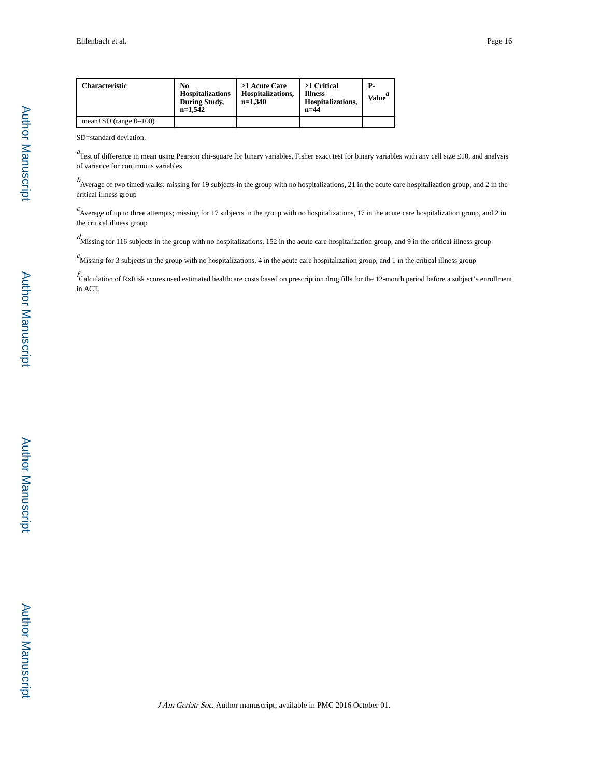| <b>Characteristic</b>       | No<br><b>Hospitalizations</b><br>During Study,<br>$n=1.542$ | 1 Acute Care<br>Hospitalizations.<br>$n=1.340$ | 1 Critical<br><b>Illness</b><br>Hospitalizations,<br>$n=44$ | Р.<br>Value $^a$ |
|-----------------------------|-------------------------------------------------------------|------------------------------------------------|-------------------------------------------------------------|------------------|
| mean $\pm$ SD (range 0–100) |                                                             |                                                |                                                             |                  |

SD=standard deviation.

 $a_{\text{Test}}$  of difference in mean using Pearson chi-square for binary variables, Fisher exact test for binary variables with any cell size  $\,$  10, and analysis of variance for continuous variables

 $<sup>b</sup>$  Average of two timed walks; missing for 19 subjects in the group with no hospitalizations, 21 in the acute care hospitalization group, and 2 in the</sup> critical illness group

 $c^2$  Average of up to three attempts; missing for 17 subjects in the group with no hospitalizations, 17 in the acute care hospitalization group, and 2 in the critical illness group

 $d$ Missing for 116 subjects in the group with no hospitalizations, 152 in the acute care hospitalization group, and 9 in the critical illness group

 $e^c$ Missing for 3 subjects in the group with no hospitalizations, 4 in the acute care hospitalization group, and 1 in the critical illness group

 $f$ Calculation of RxRisk scores used estimated healthcare costs based on prescription drug fills for the 12-month period before a subject's enrollment in ACT.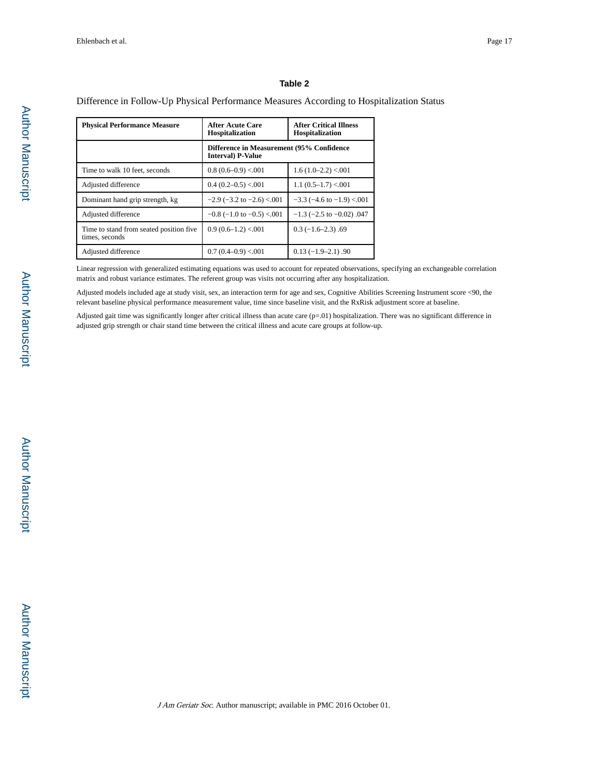#### **Table 2**

Difference in Follow-Up Physical Performance Measures According to Hospitalization Status

| <b>Physical Performance Measure</b>                        | <b>After Acute Care</b><br>Hospitalization                             | <b>After Critical Illness</b><br>Hospitalization |
|------------------------------------------------------------|------------------------------------------------------------------------|--------------------------------------------------|
|                                                            | Difference in Measurement (95% Confidence<br><b>Interval</b> ) P-Value |                                                  |
| Time to walk 10 feet, seconds                              | $0.8(0.6-0.9) < 0.01$                                                  | $1.6(1.0-2.2) < 0.01$                            |
| Adjusted difference                                        | $0.4(0.2-0.5) < 0.01$                                                  | $1.1(0.5-1.7)<.001$                              |
| Dominant hand grip strength, kg                            | $-2.9$ ( $-3.2$ to $-2.6$ ) < 001                                      | $-3.3$ ( $-4.6$ to $-1.9$ ) < 001                |
| Adjusted difference                                        | $-0.8$ ( $-1.0$ to $-0.5$ ) < 0.01                                     | $-1.3$ ( $-2.5$ to $-0.02$ ) .047                |
| Time to stand from seated position five.<br>times, seconds | $0.9(0.6-1.2) < 0.01$                                                  | $0.3(-1.6-2.3)$ .69                              |
| Adjusted difference                                        | $0.7(0.4-0.9) < 0.01$                                                  | $0.13(-1.9-2.1)$ .90                             |

Linear regression with generalized estimating equations was used to account for repeated observations, specifying an exchangeable correlation matrix and robust variance estimates. The referent group was visits not occurring after any hospitalization.

Adjusted models included age at study visit, sex, an interaction term for age and sex, Cognitive Abilities Screening Instrument score <90, the relevant baseline physical performance measurement value, time since baseline visit, and the RxRisk adjustment score at baseline.

Adjusted gait time was significantly longer after critical illness than acute care (p=.01) hospitalization. There was no significant difference in adjusted grip strength or chair stand time between the critical illness and acute care groups at follow-up.